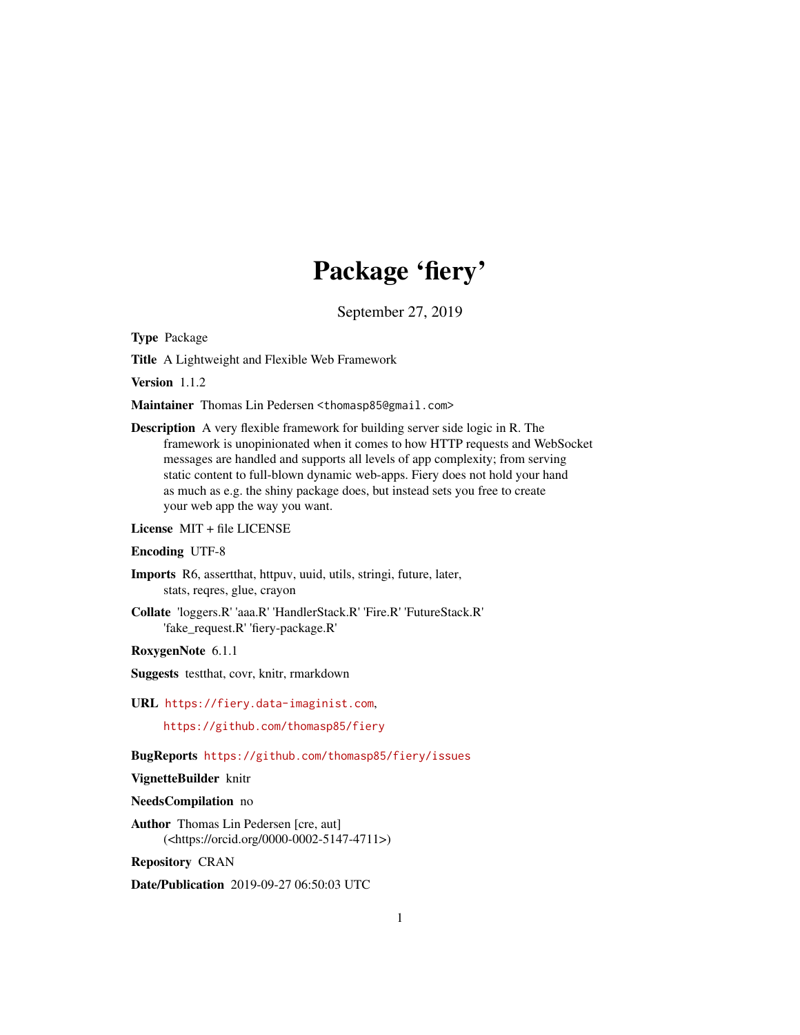## Package 'fiery'

September 27, 2019

<span id="page-0-0"></span>Type Package

Title A Lightweight and Flexible Web Framework

Version 1.1.2

Maintainer Thomas Lin Pedersen <thomasp85@gmail.com>

Description A very flexible framework for building server side logic in R. The framework is unopinionated when it comes to how HTTP requests and WebSocket messages are handled and supports all levels of app complexity; from serving static content to full-blown dynamic web-apps. Fiery does not hold your hand as much as e.g. the shiny package does, but instead sets you free to create your web app the way you want.

License MIT + file LICENSE

#### Encoding UTF-8

- Imports R6, assertthat, httpuv, uuid, utils, stringi, future, later, stats, reqres, glue, crayon
- Collate 'loggers.R' 'aaa.R' 'HandlerStack.R' 'Fire.R' 'FutureStack.R' 'fake\_request.R' 'fiery-package.R'

RoxygenNote 6.1.1

- Suggests testthat, covr, knitr, rmarkdown
- URL <https://fiery.data-imaginist.com>,

<https://github.com/thomasp85/fiery>

BugReports <https://github.com/thomasp85/fiery/issues>

#### VignetteBuilder knitr

#### NeedsCompilation no

Author Thomas Lin Pedersen [cre, aut] (<https://orcid.org/0000-0002-5147-4711>)

Repository CRAN

Date/Publication 2019-09-27 06:50:03 UTC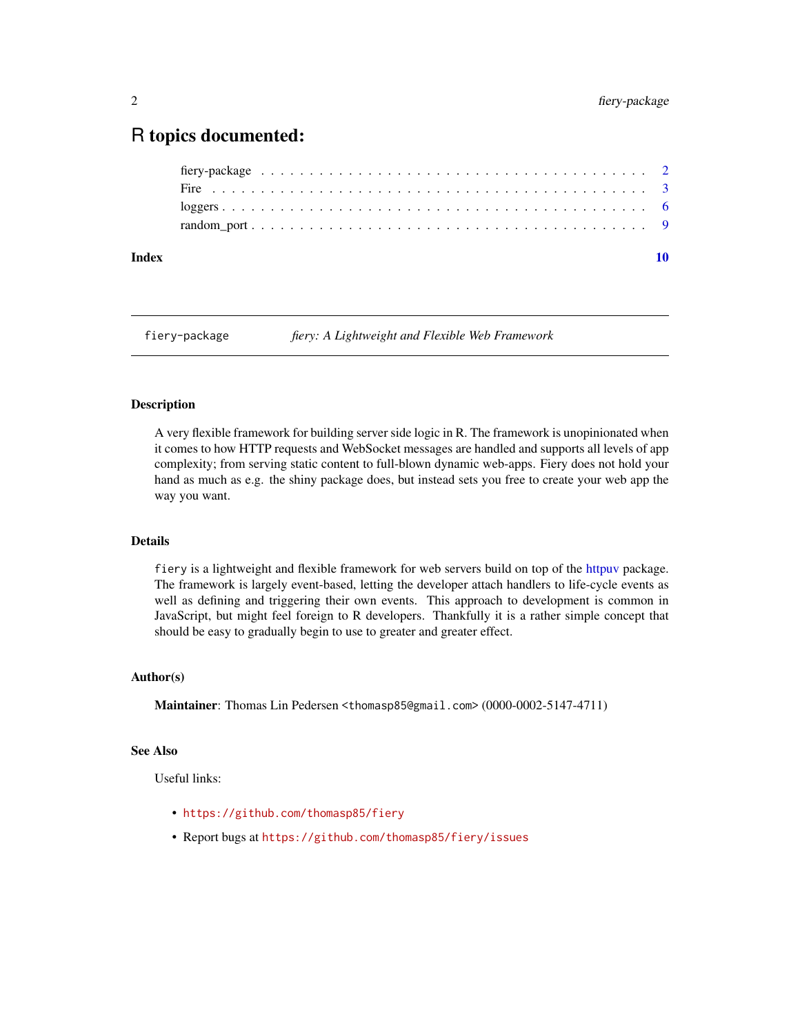### <span id="page-1-0"></span>R topics documented:

| Index |  |  |  |  |  |  |  |  |  |  |  |  |  |  |  |  |
|-------|--|--|--|--|--|--|--|--|--|--|--|--|--|--|--|--|
|       |  |  |  |  |  |  |  |  |  |  |  |  |  |  |  |  |
|       |  |  |  |  |  |  |  |  |  |  |  |  |  |  |  |  |
|       |  |  |  |  |  |  |  |  |  |  |  |  |  |  |  |  |
|       |  |  |  |  |  |  |  |  |  |  |  |  |  |  |  |  |

fiery-package *fiery: A Lightweight and Flexible Web Framework*

#### Description

A very flexible framework for building server side logic in R. The framework is unopinionated when it comes to how HTTP requests and WebSocket messages are handled and supports all levels of app complexity; from serving static content to full-blown dynamic web-apps. Fiery does not hold your hand as much as e.g. the shiny package does, but instead sets you free to create your web app the way you want.

#### Details

fiery is a lightweight and flexible framework for web servers build on top of the [httpuv](#page-0-0) package. The framework is largely event-based, letting the developer attach handlers to life-cycle events as well as defining and triggering their own events. This approach to development is common in JavaScript, but might feel foreign to R developers. Thankfully it is a rather simple concept that should be easy to gradually begin to use to greater and greater effect.

#### Author(s)

Maintainer: Thomas Lin Pedersen <thomasp85@gmail.com> (0000-0002-5147-4711)

#### See Also

Useful links:

- <https://github.com/thomasp85/fiery>
- Report bugs at <https://github.com/thomasp85/fiery/issues>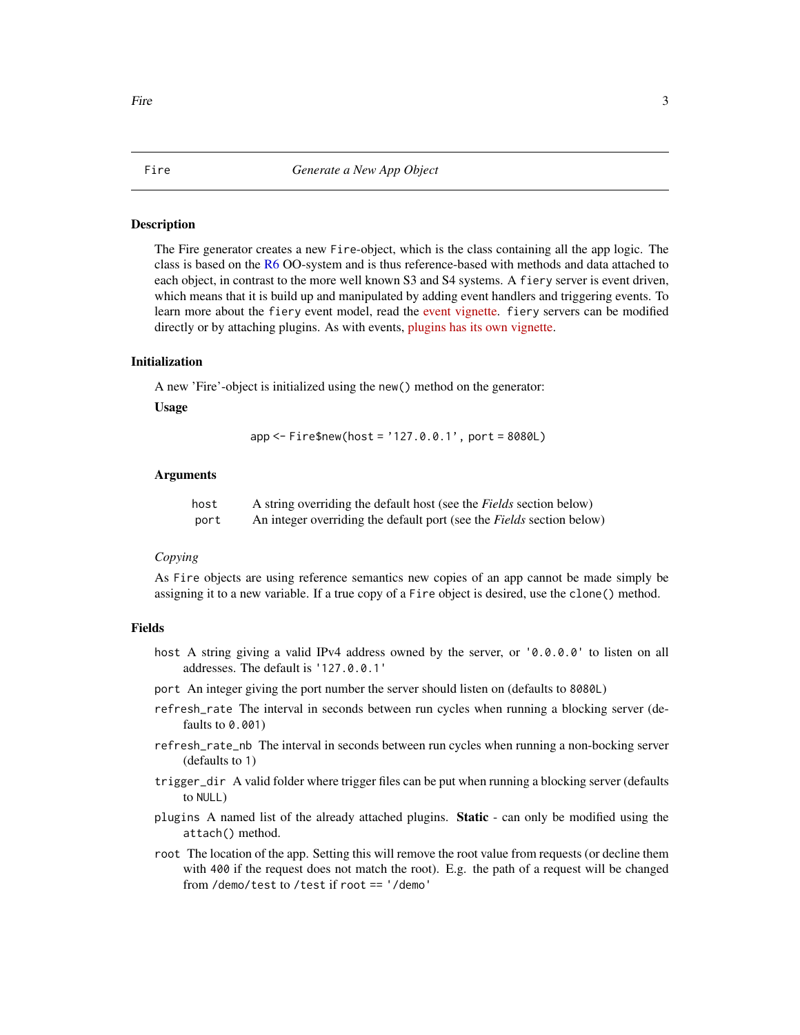#### <span id="page-2-0"></span>Description

The Fire generator creates a new Fire-object, which is the class containing all the app logic. The class is based on the [R6](#page-0-0) OO-system and is thus reference-based with methods and data attached to each object, in contrast to the more well known S3 and S4 systems. A fiery server is event driven, which means that it is build up and manipulated by adding event handlers and triggering events. To learn more about the fiery event model, read the [event vignette.](https://fiery.data-imaginist.com/articles/events.html) fiery servers can be modified directly or by attaching plugins. As with events, [plugins has its own vignette.](https://fiery.data-imaginist.com/articles/plugins.html)

#### Initialization

A new 'Fire'-object is initialized using the new() method on the generator:

#### Usage

```
app <- Fire$new(host = '127.0.0.1', port = 8080L)
```
#### Arguments

| host | A string overriding the default host (see the <i>Fields</i> section below) |
|------|----------------------------------------------------------------------------|
| port | An integer overriding the default port (see the Fields section below)      |

#### *Copying*

As Fire objects are using reference semantics new copies of an app cannot be made simply be assigning it to a new variable. If a true copy of a Fire object is desired, use the clone() method.

#### Fields

- host A string giving a valid IPv4 address owned by the server, or '0.0.0.0' to listen on all addresses. The default is '127.0.0.1'
- port An integer giving the port number the server should listen on (defaults to 8080L)
- refresh\_rate The interval in seconds between run cycles when running a blocking server (defaults to 0.001)
- refresh\_rate\_nb The interval in seconds between run cycles when running a non-bocking server (defaults to 1)
- trigger\_dir A valid folder where trigger files can be put when running a blocking server (defaults to NULL)
- plugins A named list of the already attached plugins. **Static** can only be modified using the attach() method.
- root The location of the app. Setting this will remove the root value from requests (or decline them with 400 if the request does not match the root). E.g. the path of a request will be changed from /demo/test to /test if root == '/demo'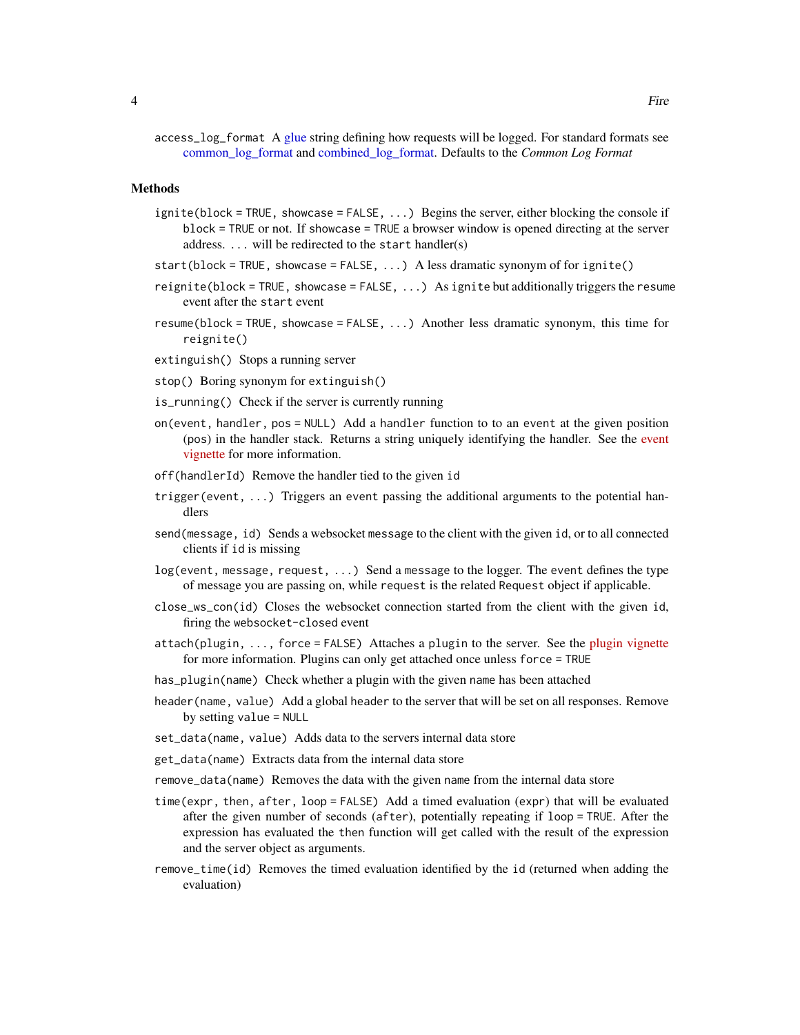<span id="page-3-0"></span>access\_log\_format A [glue](#page-0-0) string defining how requests will be logged. For standard formats see [common\\_log\\_format](#page-5-1) and [combined\\_log\\_format.](#page-5-1) Defaults to the *Common Log Format*

#### Methods

- ignite(block = TRUE, showcase = FALSE, ...) Begins the server, either blocking the console if block = TRUE or not. If showcase = TRUE a browser window is opened directing at the server address. ... will be redirected to the start handler(s)
- start(block = TRUE, showcase = FALSE, ...) A less dramatic synonym of for ignite()
- reignite(block = TRUE, showcase = FALSE, ...) As ignite but additionally triggers the resume event after the start event
- resume(block = TRUE, showcase = FALSE,  $\dots$ ) Another less dramatic synonym, this time for reignite()

extinguish() Stops a running server

stop() Boring synonym for extinguish()

- is\_running() Check if the server is currently running
- on(event, handler, pos = NULL) Add a handler function to to an event at the given position (pos) in the handler stack. Returns a string uniquely identifying the handler. See the [event](https://fiery.data-imaginist.com/articles/events.html) [vignette](https://fiery.data-imaginist.com/articles/events.html) for more information.
- off(handlerId) Remove the handler tied to the given id
- trigger(event, ...) Triggers an event passing the additional arguments to the potential handlers
- send(message, id) Sends a websocket message to the client with the given id, or to all connected clients if id is missing
- log(event, message, request, ...) Send a message to the logger. The event defines the type of message you are passing on, while request is the related Request object if applicable.
- close\_ws\_con(id) Closes the websocket connection started from the client with the given id, firing the websocket-closed event
- attach(plugin,  $\dots$ , force = FALSE) Attaches a plugin to the server. See the [plugin vignette](https://fiery.data-imaginist.com/articles/plugins.html) for more information. Plugins can only get attached once unless force = TRUE
- has\_plugin(name) Check whether a plugin with the given name has been attached
- header(name, value) Add a global header to the server that will be set on all responses. Remove by setting value = NULL
- set\_data(name, value) Adds data to the servers internal data store
- get\_data(name) Extracts data from the internal data store
- remove\_data(name) Removes the data with the given name from the internal data store
- time(expr, then, after, loop = FALSE) Add a timed evaluation (expr) that will be evaluated after the given number of seconds (after), potentially repeating if loop = TRUE. After the expression has evaluated the then function will get called with the result of the expression and the server object as arguments.
- remove\_time(id) Removes the timed evaluation identified by the id (returned when adding the evaluation)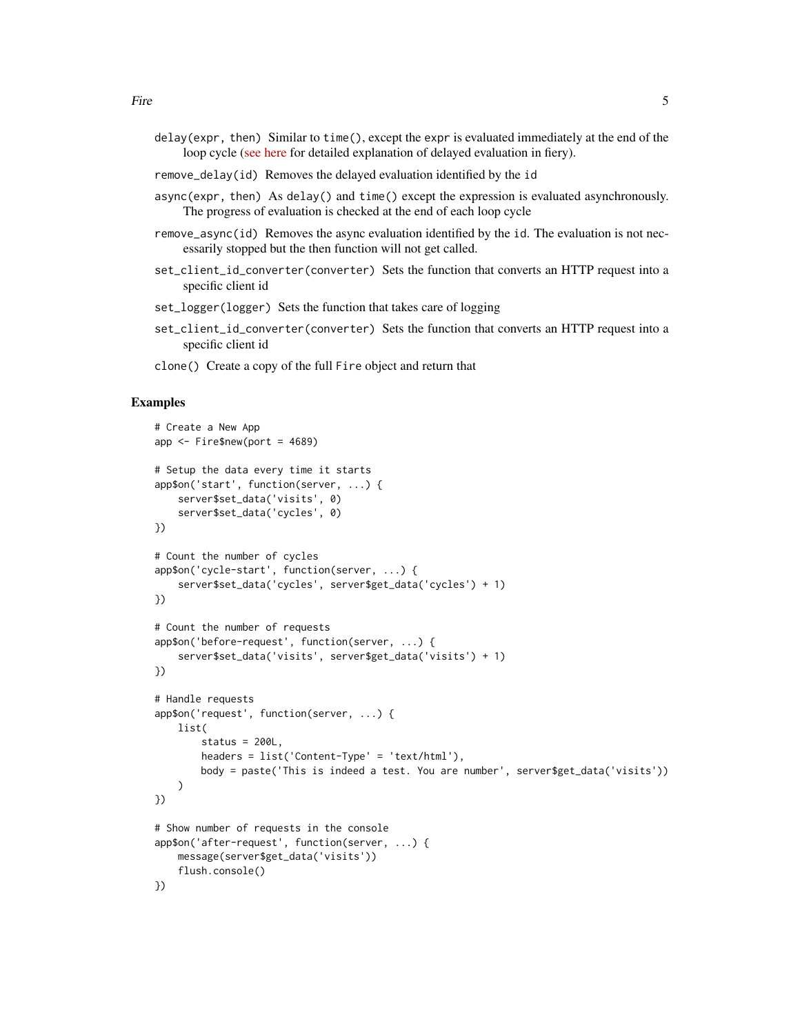- delay(expr, then) Similar to time(), except the expr is evaluated immediately at the end of the loop cycle [\(see here](https://fiery.data-imaginist.com/articles/delayed.html) for detailed explanation of delayed evaluation in fiery).
- remove\_delay(id) Removes the delayed evaluation identified by the id
- async(expr, then) As delay() and time() except the expression is evaluated asynchronously. The progress of evaluation is checked at the end of each loop cycle
- remove\_async(id) Removes the async evaluation identified by the id. The evaluation is not necessarily stopped but the then function will not get called.
- set\_client\_id\_converter(converter) Sets the function that converts an HTTP request into a specific client id
- set\_logger(logger) Sets the function that takes care of logging
- set\_client\_id\_converter(converter) Sets the function that converts an HTTP request into a specific client id
- clone() Create a copy of the full Fire object and return that

#### Examples

```
# Create a New App
app \le- Fire$new(port = 4689)
# Setup the data every time it starts
app$on('start', function(server, ...) {
   server$set_data('visits', 0)
    server$set_data('cycles', 0)
})
# Count the number of cycles
app$on('cycle-start', function(server, ...) {
    server$set_data('cycles', server$get_data('cycles') + 1)
})
# Count the number of requests
app$on('before-request', function(server, ...) {
    server$set_data('visits', server$get_data('visits') + 1)
})
# Handle requests
app$on('request', function(server, ...) {
   list(
        status = 200L,
        headers = list('Content-Type' = 'text/html'),
       body = paste('This is indeed a test. You are number', server$get_data('visits'))
    )
})
# Show number of requests in the console
app$on('after-request', function(server, ...) {
   message(server$get_data('visits'))
    flush.console()
})
```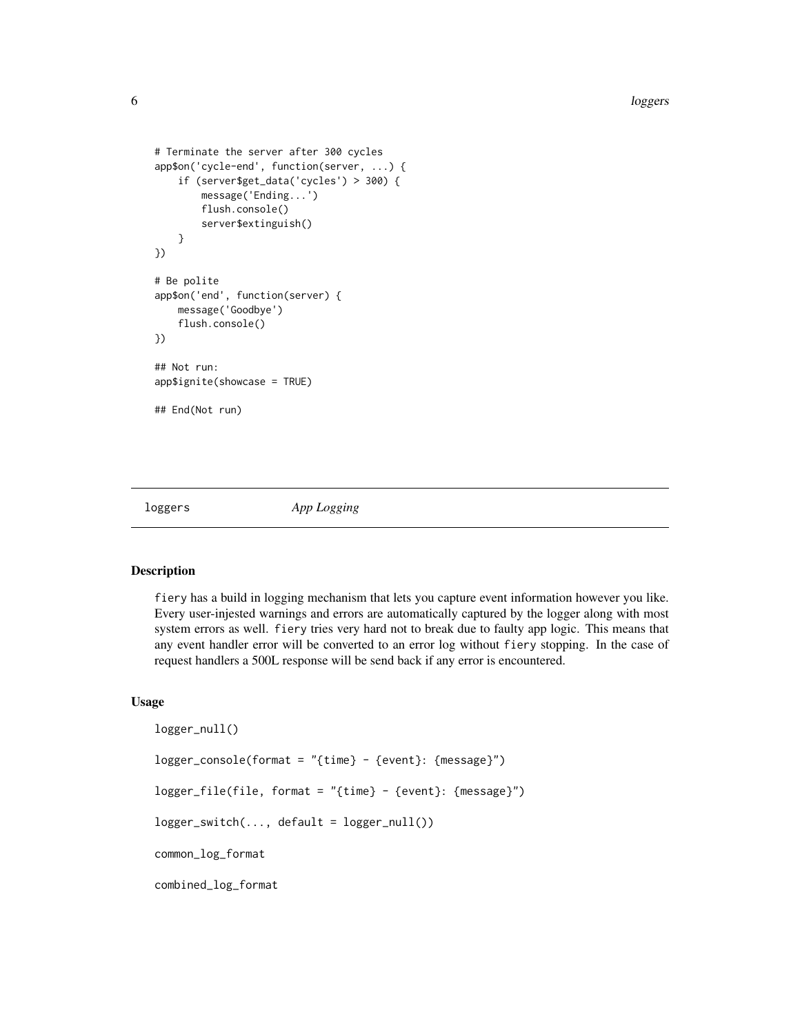```
# Terminate the server after 300 cycles
app$on('cycle-end', function(server, ...) {
    if (server$get_data('cycles') > 300) {
       message('Ending...')
       flush.console()
        server$extinguish()
    }
})
# Be polite
app$on('end', function(server) {
    message('Goodbye')
    flush.console()
})
## Not run:
app$ignite(showcase = TRUE)
## End(Not run)
```
loggers *App Logging*

#### <span id="page-5-1"></span>Description

fiery has a build in logging mechanism that lets you capture event information however you like. Every user-injested warnings and errors are automatically captured by the logger along with most system errors as well. fiery tries very hard not to break due to faulty app logic. This means that any event handler error will be converted to an error log without fiery stopping. In the case of request handlers a 500L response will be send back if any error is encountered.

#### Usage

```
logger_null()
logger_console(format = "{time} - {event}: {message}")
logger_file(file, format = "{time} - {event}: {message}")
logger\_switch(..., default = logger\_null())common_log_format
combined_log_format
```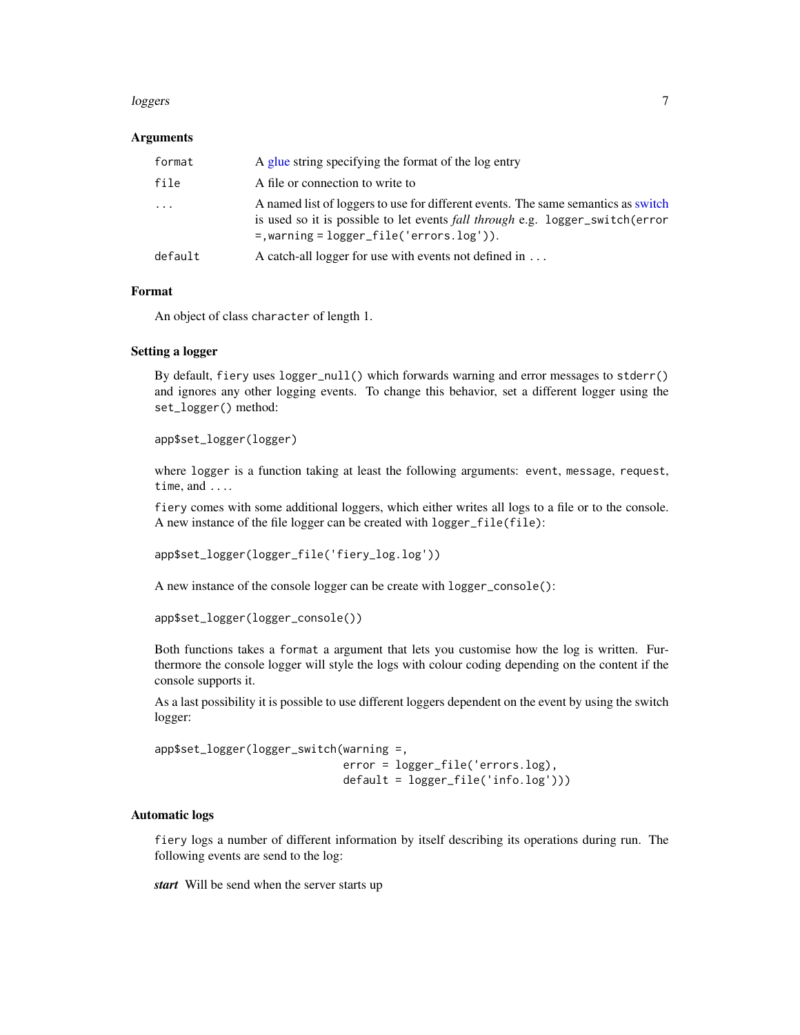#### <span id="page-6-0"></span>loggers and the contract of the contract of the contract of the contract of the contract of the contract of the contract of the contract of the contract of the contract of the contract of the contract of the contract of th

#### Arguments

| format   | A glue string specifying the format of the log entry                                                                                                                                                                 |
|----------|----------------------------------------------------------------------------------------------------------------------------------------------------------------------------------------------------------------------|
| file     | A file or connection to write to                                                                                                                                                                                     |
| $\ddots$ | A named list of loggers to use for different events. The same semantics as switch<br>is used so it is possible to let events fall through e.g. logger_switch(error<br>$=$ , warning = $logger_file('errors.log'))$ . |
| default  | A catch-all logger for use with events not defined in                                                                                                                                                                |

#### Format

An object of class character of length 1.

#### Setting a logger

By default, fiery uses logger\_null() which forwards warning and error messages to stderr() and ignores any other logging events. To change this behavior, set a different logger using the set\_logger() method:

app\$set\_logger(logger)

where logger is a function taking at least the following arguments: event, message, request, time, and ....

fiery comes with some additional loggers, which either writes all logs to a file or to the console. A new instance of the file logger can be created with logger\_file(file):

```
app$set_logger(logger_file('fiery_log.log'))
```
A new instance of the console logger can be create with logger\_console():

```
app$set_logger(logger_console())
```
Both functions takes a format a argument that lets you customise how the log is written. Furthermore the console logger will style the logs with colour coding depending on the content if the console supports it.

As a last possibility it is possible to use different loggers dependent on the event by using the switch logger:

```
app$set_logger(logger_switch(warning =,
                             error = logger_file('errors.log),
                             default = logger_file('info.log')))
```
#### Automatic logs

fiery logs a number of different information by itself describing its operations during run. The following events are send to the log:

*start* Will be send when the server starts up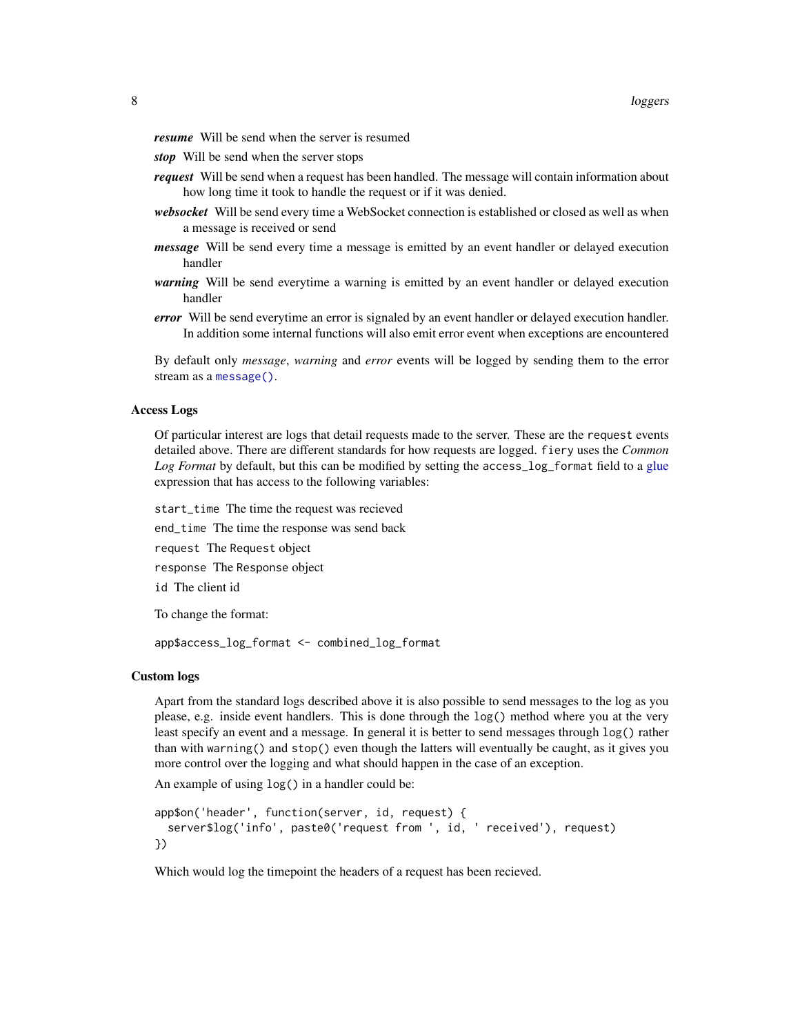<span id="page-7-0"></span>*resume* Will be send when the server is resumed

- *stop* Will be send when the server stops
- *request* Will be send when a request has been handled. The message will contain information about how long time it took to handle the request or if it was denied.
- *websocket* Will be send every time a WebSocket connection is established or closed as well as when a message is received or send
- *message* Will be send every time a message is emitted by an event handler or delayed execution handler
- *warning* Will be send everytime a warning is emitted by an event handler or delayed execution handler
- *error* Will be send everytime an error is signaled by an event handler or delayed execution handler. In addition some internal functions will also emit error event when exceptions are encountered

By default only *message*, *warning* and *error* events will be logged by sending them to the error stream as a [message\(\)](#page-0-0).

#### Access Logs

Of particular interest are logs that detail requests made to the server. These are the request events detailed above. There are different standards for how requests are logged. fiery uses the *Common Log Format* by default, but this can be modified by setting the access\_log\_format field to a [glue](#page-0-0) expression that has access to the following variables:

start\_time The time the request was recieved end\_time The time the response was send back request The Request object response The Response object id The client id

To change the format:

app\$access\_log\_format <- combined\_log\_format

#### Custom logs

Apart from the standard logs described above it is also possible to send messages to the log as you please, e.g. inside event handlers. This is done through the log() method where you at the very least specify an event and a message. In general it is better to send messages through log() rather than with warning() and stop() even though the latters will eventually be caught, as it gives you more control over the logging and what should happen in the case of an exception.

An example of using log() in a handler could be:

```
app$on('header', function(server, id, request) {
 server$log('info', paste0('request from ', id, ' received'), request)
})
```
Which would log the timepoint the headers of a request has been recieved.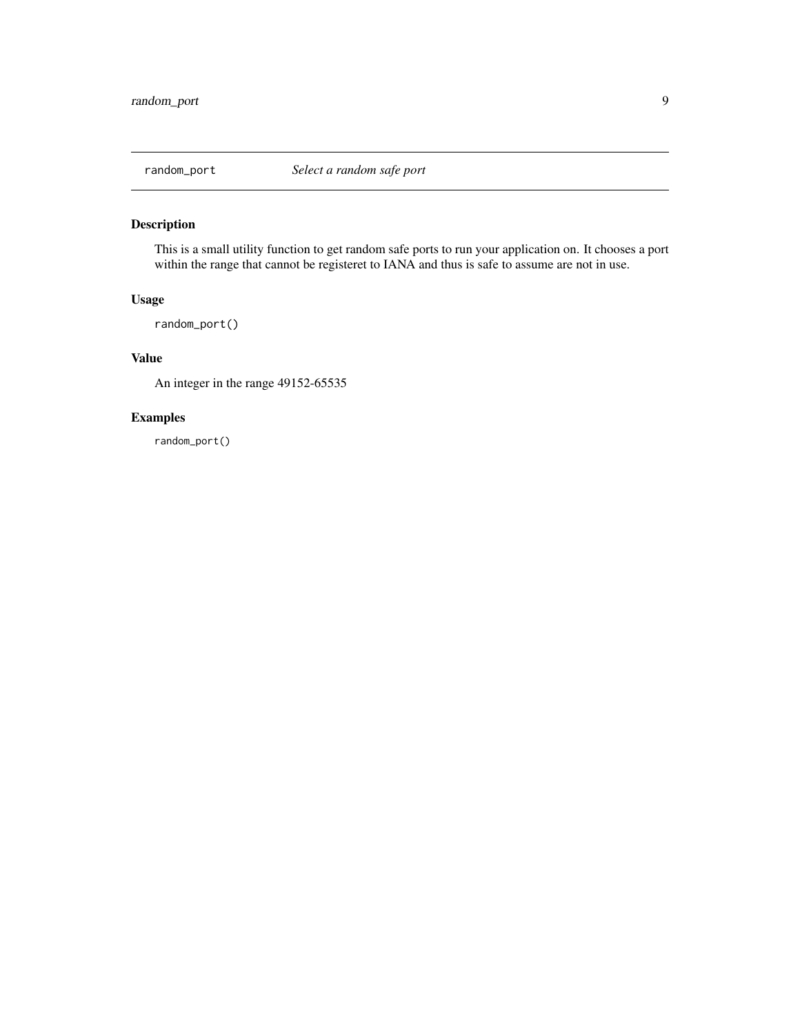<span id="page-8-0"></span>

#### Description

This is a small utility function to get random safe ports to run your application on. It chooses a port within the range that cannot be registeret to IANA and thus is safe to assume are not in use.

#### Usage

random\_port()

#### Value

An integer in the range 49152-65535

#### Examples

random\_port()